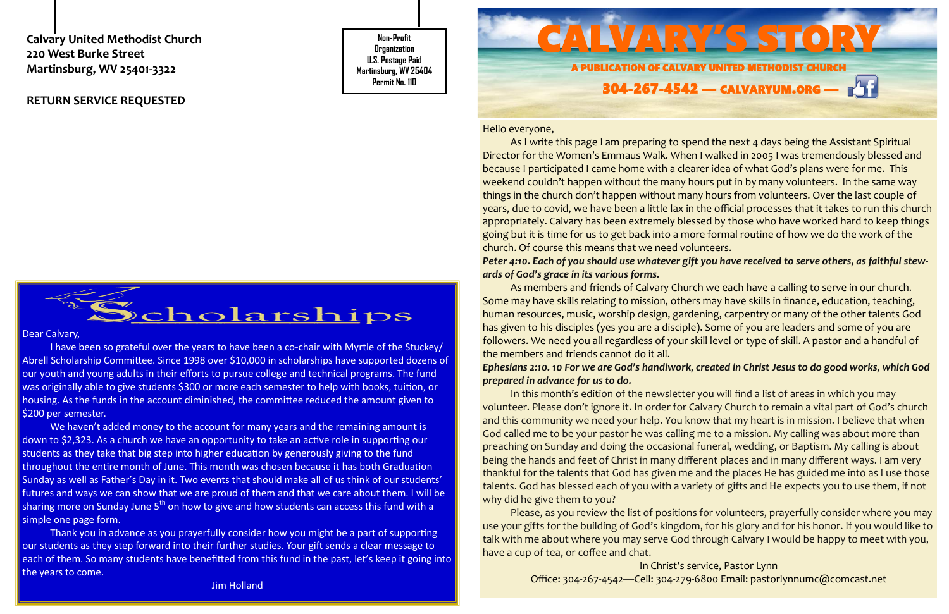**Calvary United Methodist Church 220 West Burke Street Martinsburg, WV 25401-3322**

#### **RETURN SERVICE REQUESTED**

**Non-Profit Organization U.S. Postage Paid Martinsburg, WV 25404 Permit No. 110**

Hello everyone,

As I write this page I am preparing to spend the next 4 days being the Assistant Spiritual Director for the Women's Emmaus Walk. When I walked in 2005 I was tremendously blessed and because I participated I came home with a clearer idea of what God's plans were for me. This weekend couldn't happen without the many hours put in by many volunteers. In the same way things in the church don't happen without many hours from volunteers. Over the last couple of years, due to covid, we have been a little lax in the official processes that it takes to run this church appropriately. Calvary has been extremely blessed by those who have worked hard to keep things going but it is time for us to get back into a more formal routine of how we do the work of the church. Of course this means that we need volunteers. *Peter 4:10. Each of you should use whatever gift you have received to serve others, as faithful stewards of God's grace in its various forms.*

As members and friends of Calvary Church we each have a calling to serve in our church. Some may have skills relating to mission, others may have skills in finance, education, teaching, human resources, music, worship design, gardening, carpentry or many of the other talents God has given to his disciples (yes you are a disciple). Some of you are leaders and some of you are followers. We need you all regardless of your skill level or type of skill. A pastor and a handful of the members and friends cannot do it all. *Ephesians 2:10. 10 For we are God's handiwork, created in Christ Jesus to do good works, which God prepared in advance for us to do.*

I have been so grateful over the years to have been a co-chair with Myrtle of the Stuckey/ Abrell Scholarship Committee. Since 1998 over \$10,000 in scholarships have supported dozens of our youth and young adults in their efforts to pursue college and technical programs. The fund was originally able to give students \$300 or more each semester to help with books, tuition, or housing. As the funds in the account diminished, the committee reduced the amount given to \$200 per semester.

We haven't added money to the account for many years and the remaining amount is down to \$2,323. As a church we have an opportunity to take an active role in supporting our students as they take that big step into higher education by generously giving to the fund throughout the entire month of June. This month was chosen because it has both Graduation Sunday as well as Father's Day in it. Two events that should make all of us think of our students' futures and ways we can show that we are proud of them and that we care about them. I will be sharing more on Sunday June 5<sup>th</sup> on how to give and how students can access this fund with a simple one page form.

In this month's edition of the newsletter you will find a list of areas in which you may volunteer. Please don't ignore it. In order for Calvary Church to remain a vital part of God's church and this community we need your help. You know that my heart is in mission. I believe that when God called me to be your pastor he was calling me to a mission. My calling was about more than preaching on Sunday and doing the occasional funeral, wedding, or Baptism. My calling is about being the hands and feet of Christ in many different places and in many different ways. I am very thankful for the talents that God has given me and the places He has guided me into as I use those talents. God has blessed each of you with a variety of gifts and He expects you to use them, if not why did he give them to you?

Please, as you review the list of positions for volunteers, prayerfully consider where you may use your gifts for the building of God's kingdom, for his glory and for his honor. If you would like to talk with me about where you may serve God through Calvary I would be happy to meet with you, have a cup of tea, or coffee and chat.

> In Christ's service, Pastor Lynn Office: 304-267-4542—Cell: 304-279-6800 Email: pastorlynnumc@comcast.net





#### Dear Calvary,

Thank you in advance as you prayerfully consider how you might be a part of supporting our students as they step forward into their further studies. Your gift sends a clear message to each of them. So many students have benefitted from this fund in the past, let's keep it going into the years to come.

Jim Holland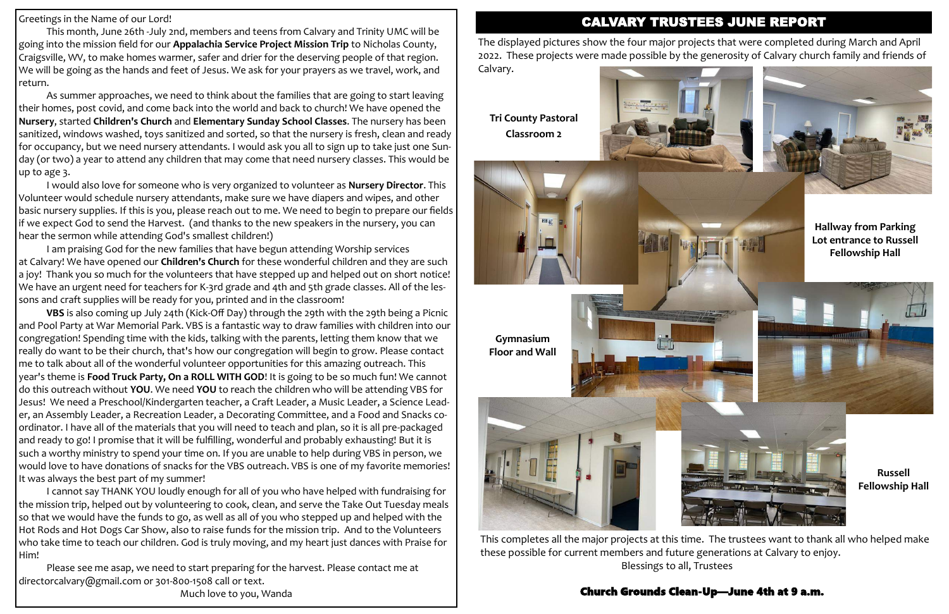# CALVARY TRUSTEES JUNE REPORT

Greetings in the Name of our Lord!

This month, June 26th -July 2nd, members and teens from Calvary and Trinity UMC will be going into the mission field for our **Appalachia Service Project Mission Trip** to Nicholas County, Craigsville, WV, to make homes warmer, safer and drier for the deserving people of that region. We will be going as the hands and feet of Jesus. We ask for your prayers as we travel, work, and return.

As summer approaches, we need to think about the families that are going to start leaving their homes, post covid, and come back into the world and back to church! We have opened the **Nursery**, started **Children's Church** and **Elementary Sunday School Classes**. The nursery has been sanitized, windows washed, toys sanitized and sorted, so that the nursery is fresh, clean and ready for occupancy, but we need nursery attendants. I would ask you all to sign up to take just one Sunday (or two) a year to attend any children that may come that need nursery classes. This would be up to age 3.

**VBS** is also coming up July 24th (Kick-Off Day) through the 29th with the 29th being a Picnic and Pool Party at War Memorial Park. VBS is a fantastic way to draw families with children into our congregation! Spending time with the kids, talking with the parents, letting them know that we really do want to be their church, that's how our congregation will begin to grow. Please contact me to talk about all of the wonderful volunteer opportunities for this amazing outreach. This year's theme is **Food Truck Party, On a ROLL WITH GOD**! It is going to be so much fun! We cannot do this outreach without **YOU**. We need **YOU** to reach the children who will be attending VBS for Jesus! We need a Preschool/Kindergarten teacher, a Craft Leader, a Music Leader, a Science Leader, an Assembly Leader, a Recreation Leader, a Decorating Committee, and a Food and Snacks coordinator. I have all of the materials that you will need to teach and plan, so it is all pre-packaged and ready to go! I promise that it will be fulfilling, wonderful and probably exhausting! But it is such a worthy ministry to spend your time on. If you are unable to help during VBS in person, we would love to have donations of snacks for the VBS outreach. VBS is one of my favorite memories! It was always the best part of my summer!

I would also love for someone who is very organized to volunteer as **Nursery Director**. This Volunteer would schedule nursery attendants, make sure we have diapers and wipes, and other basic nursery supplies. If this is you, please reach out to me. We need to begin to prepare our fields if we expect God to send the Harvest. (and thanks to the new speakers in the nursery, you can hear the sermon while attending God's smallest children!)

I am praising God for the new families that have begun attending Worship services at Calvary! We have opened our **Children's Church** for these wonderful children and they are such a joy! Thank you so much for the volunteers that have stepped up and helped out on short notice! We have an urgent need for teachers for K-3rd grade and 4th and 5th grade classes. All of the lessons and craft supplies will be ready for you, printed and in the classroom!

I cannot say THANK YOU loudly enough for all of you who have helped with fundraising for the mission trip, helped out by volunteering to cook, clean, and serve the Take Out Tuesday meals so that we would have the funds to go, as well as all of you who stepped up and helped with the Hot Rods and Hot Dogs Car Show, also to raise funds for the mission trip. And to the Volunteers who take time to teach our children. God is truly moving, and my heart just dances with Praise for Him!

Please see me asap, we need to start preparing for the harvest. Please contact me at directorcalvary@gmail.com or 301-800-1508 call or text.

Much love to you, Wanda

The displayed pictures show the four major projects that were completed during March and April 2022. These projects were made possible by the generosity of Calvary church family and friends of Calvary.

### Church Grounds Clean-Up—June 4th at 9 a.m.

**Classroom 2** 







**Gymnasium** 

This completes all the major projects at this time. The trustees want to thank all who helped make these possible for current members and future generations at Calvary to enjoy. Blessings to all, Trustees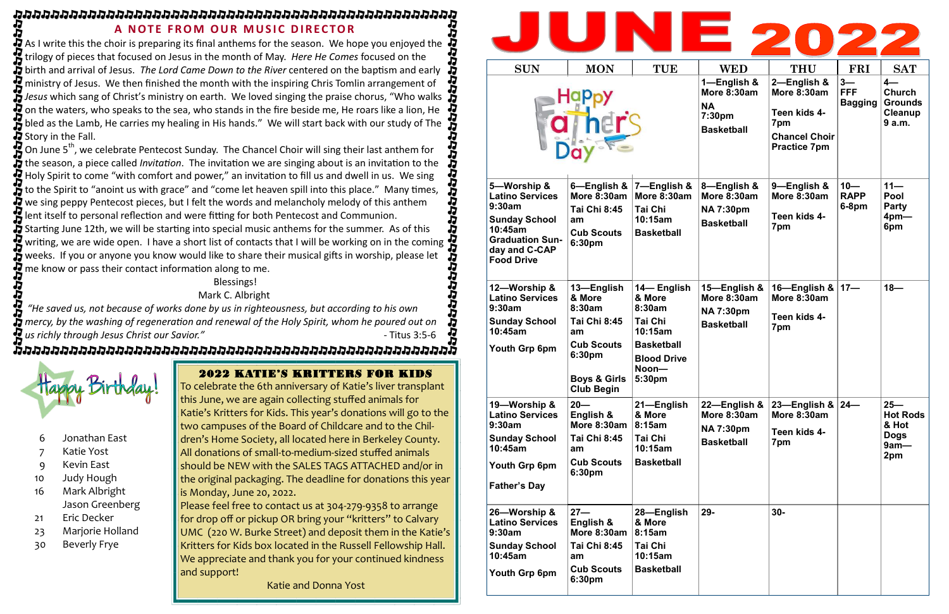| <b>SUN</b>                                                                                                                                         | <b>MON</b>                                                                                                                                 | <b>TUE</b>                                                                                                         | <b>WED</b>                                                                  | <b>THU</b>                                                                                       | <b>FRI</b>                           | <b>SAT</b>                                                          |
|----------------------------------------------------------------------------------------------------------------------------------------------------|--------------------------------------------------------------------------------------------------------------------------------------------|--------------------------------------------------------------------------------------------------------------------|-----------------------------------------------------------------------------|--------------------------------------------------------------------------------------------------|--------------------------------------|---------------------------------------------------------------------|
|                                                                                                                                                    |                                                                                                                                            |                                                                                                                    | 1-English &<br>More 8:30am<br><b>NA</b><br>7:30pm<br><b>Basketball</b>      | 2-English &<br>More 8:30am<br>Teen kids 4-<br>7pm<br><b>Chancel Choir</b><br><b>Practice 7pm</b> | $3-$<br><b>FFF</b><br><b>Bagging</b> | $4-$<br><b>Church</b><br><b>Grounds</b><br>Cleanup<br>9 a.m.        |
| 5-Worship &<br><b>Latino Services</b><br>9:30am<br><b>Sunday School</b><br>10:45am<br><b>Graduation Sun-</b><br>day and C-CAP<br><b>Food Drive</b> | 6-English &<br>More 8:30am<br><b>Tai Chi 8:45</b><br>am<br><b>Cub Scouts</b><br>6:30pm                                                     | 7-English &<br>More 8:30am<br>Tai Chi<br>10:15am<br><b>Basketball</b>                                              | 8-English &<br>More 8:30am<br><b>NA 7:30pm</b><br><b>Basketball</b>         | 9-English &<br>More 8:30am<br>Teen kids 4-<br>7pm                                                | $10 -$<br><b>RAPP</b><br>6-8pm       | $11 -$<br>Pool<br><b>Party</b><br>4 <sub>pm</sub><br>6pm            |
| 12-Worship &<br><b>Latino Services</b><br>9:30am<br><b>Sunday School</b><br>10:45am<br>Youth Grp 6pm                                               | 13-English<br>& More<br>8:30am<br><b>Tai Chi 8:45</b><br>am<br><b>Cub Scouts</b><br>6:30pm<br><b>Boys &amp; Girls</b><br><b>Club Begin</b> | 14-English<br>& More<br>8:30am<br>Tai Chi<br>10:15am<br><b>Basketball</b><br><b>Blood Drive</b><br>Noon-<br>5:30pm | 15-English &<br>More 8:30am<br><b>NA 7:30pm</b><br><b>Basketball</b>        | 16-English &<br>More 8:30am<br>Teen kids 4-<br>7pm                                               | $17 -$                               | $18 -$                                                              |
| 19-Worship &<br><b>Latino Services</b><br>9:30am<br><b>Sunday School</b><br>10:45am<br>Youth Grp 6pm<br><b>Father's Day</b>                        | $20 -$<br>English &<br>More 8:30am<br><b>Tai Chi 8:45</b><br>am<br><b>Cub Scouts</b><br>6:30pm                                             | 21-English<br>& More<br>8:15am<br>Tai Chi<br>10:15am<br><b>Basketball</b>                                          | 22-English &<br><b>More 8:30am</b><br><b>NA 7:30pm</b><br><b>Basketball</b> | 23-English & 24-<br>More 8:30am<br>Teen kids 4-<br>7pm                                           |                                      | $25 -$<br><b>Hot Rods</b><br>& Hot<br><b>Dogs</b><br>$9am -$<br>2pm |
| 26-Worship &<br><b>Latino Services</b><br>9:30am<br><b>Sunday School</b><br>10:45am<br>Youth Grp 6pm                                               | $27 -$<br>English &<br>More 8:30am<br><b>Tai Chi 8:45</b><br>am<br><b>Cub Scouts</b><br>6:30pm                                             | 28-English<br>& More<br>8:15am<br><b>Tai Chi</b><br>10:15am<br><b>Basketball</b>                                   | $29 -$                                                                      | $30 -$                                                                                           |                                      |                                                                     |



### *המטכומה ביויים ביויים ביויים ביויים ביויים ביויים ביויים ביויים ביויים ביויים ביויים ביויים ביויים ביויים ביו* **A N OT E F R O M O U R M U S I C D I R E C TO R**

As I write this the choir is preparing its final anthems for the season. We hope you enjoyed the trilogy of pieces that focused on Jesus in the month of May. *Here He Comes* focused on the birth and arrival of Jesus. *The Lord Came Down to the River* centered on the baptism and early J ministry of Jesus. We then finished the month with the inspiring Chris Tomlin arrangement of *Jesus* which sang of Christ's ministry on earth. We loved singing the praise chorus, "Who walks" on the waters, who speaks to the sea, who stands in the fire beside me, He roars like a lion, He J bled as the Lamb, He carries my healing in His hands." We will start back with our study of The Story in the Fall.

On June  $5<sup>th</sup>$ , we celebrate Pentecost Sunday. The Chancel Choir will sing their last anthem for the season, a piece called *Invitation*. The invitation we are singing about is an invitation to the Holy Spirit to come "with comfort and power," an invitation to fill us and dwell in us. We sing to the Spirit to "anoint us with grace" and "come let heaven spill into this place." Many times, Ď We sing peppy Pentecost pieces, but I felt the words and melancholy melody of this anthem lent itself to personal reflection and were fitting for both Pentecost and Communion.

Starting June 12th, we will be starting into special music anthems for the summer. As of this writing, we are wide open. I have a short list of contacts that I will be working on in the coming  $\mathbf{F}$ weeks. If you or anyone you know would like to share their musical gifts in worship, please let Q me know or pass their contact information along to me. ふりいい

*"He saved us, not because of works done by us in righteousness, but according to his own mercy, by the washing of regeneration and renewal of the Holy Spirit, whom he poured out on*  **a** us richly through Jesus Christ our Savior." And the same of the set of the set of the set of the set of the set of the set of the set of the set of the set of the set of the set of the set of the set of the set of the

### 



- Jonathan East
- 7 Katie Yost

Ř

### Blessings!

#### Mark C. Albright

### 2022 KATIE'S KRITTERS FOR KIDS

r<br>S

To celebrate the 6th anniversary of Katie's liver transplant this June, we are again collecting stuffed animals for Katie's Kritters for Kids. This year's donations will go to the two campuses of the Board of Childcare and to the Children's Home Society, all located here in Berkeley County. All donations of small-to-medium-sized stuffed animals should be NEW with the SALES TAGS ATTACHED and/or in the original packaging. The deadline for donations this year is Monday, June 20, 2022.

Please feel free to contact us at 304-279-9358 to arrange for drop off or pickup OR bring your "kritters" to Calvary UMC (220 W. Burke Street) and deposit them in the Katie's Kritters for Kids box located in the Russell Fellowship Hall. We appreciate and thank you for your continued kindness and support!

Katie and Donna Yost

- 9 Kevin East
- 10 Judy Hough
- 16 Mark Albright Jason Greenberg
- 21 Eric Decker
- 23 Marjorie Holland
- 30 Beverly Frye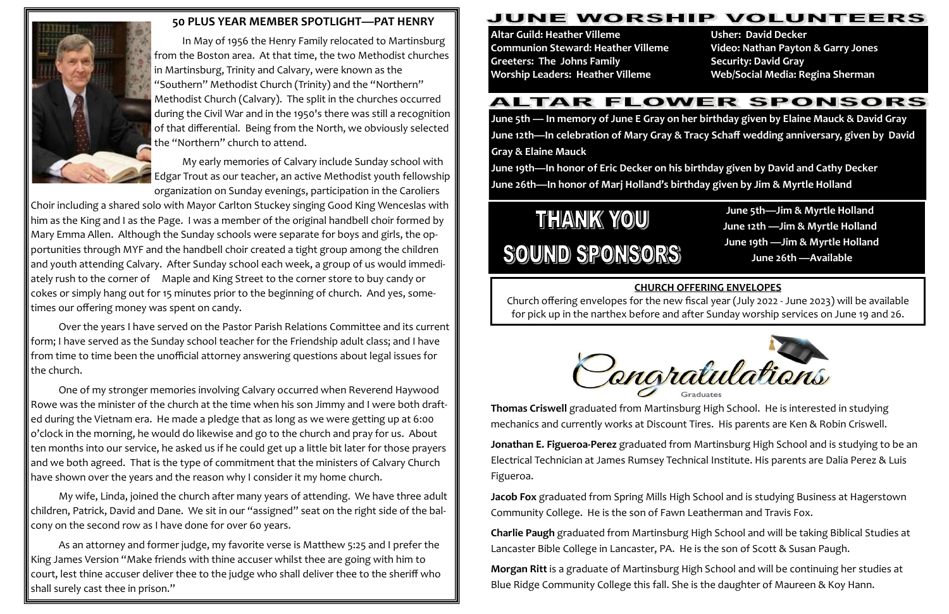**Altar Guild: Heather Villeme Communion Steward: Heather Villeme Greeters: The Johns Family Worship Leaders: Heather Villeme**

## **ALTAR FLOWER SPONSORS**

**Usher: David Decker Video: Nathan Payton & Garry Jones Security: David Gray Web/Social Media: Regina Sherman**

**June 5th — In memory of June E Gray on her birthday given by Elaine Mauck & David Gray June 12th—In celebration of Mary Gray & Tracy Schaff wedding anniversary, given by David** 

**Gray & Elaine Mauck** 

**June 19th—In honor of Eric Decker on his birthday given by David and Cathy Decker June 26th—In honor of Marj Holland's birthday given by Jim & Myrtle Holland**

# THANK YOU SOUND SPONSORS

**June 5th—Jim & Myrtle Holland June 12th —Jim & Myrtle Holland June 19th —Jim & Myrtle Holland June 26th —Available**

#### **CHURCH OFFERING ENVELOPES**

Church offering envelopes for the new fiscal year (July 2022 - June 2023) will be available for pick up in the narthex before and after Sunday worship services on June 19 and 26.





#### **50 PLUS YEAR MEMBER SPOTLIGHT—PAT HENRY**

In May of 1956 the Henry Family relocated to Martinsburg from the Boston area. At that time, the two Methodist churches in Martinsburg, Trinity and Calvary, were known as the "Southern" Methodist Church (Trinity) and the "Northern" Methodist Church (Calvary). The split in the churches occurred during the Civil War and in the 1950's there was still a recognition of that differential. Being from the North, we obviously selected the "Northern" church to attend.

My early memories of Calvary include Sunday school with Edgar Trout as our teacher, an active Methodist youth fellowship organization on Sunday evenings, participation in the Caroliers

Choir including a shared solo with Mayor Carlton Stuckey singing Good King Wenceslas with him as the King and I as the Page. I was a member of the original handbell choir formed by Mary Emma Allen. Although the Sunday schools were separate for boys and girls, the opportunities through MYF and the handbell choir created a tight group among the children and youth attending Calvary. After Sunday school each week, a group of us would immediately rush to the corner of Maple and King Street to the corner store to buy candy or cokes or simply hang out for 15 minutes prior to the beginning of church. And yes, sometimes our offering money was spent on candy.

Over the years I have served on the Pastor Parish Relations Committee and its current form; I have served as the Sunday school teacher for the Friendship adult class; and I have from time to time been the unofficial attorney answering questions about legal issues for the church.

One of my stronger memories involving Calvary occurred when Reverend Haywood Rowe was the minister of the church at the time when his son Jimmy and I were both drafted during the Vietnam era. He made a pledge that as long as we were getting up at 6:00 o'clock in the morning, he would do likewise and go to the church and pray for us. About ten months into our service, he asked us if he could get up a little bit later for those prayers and we both agreed. That is the type of commitment that the ministers of Calvary Church have shown over the years and the reason why I consider it my home church.

My wife, Linda, joined the church after many years of attending. We have three adult children, Patrick, David and Dane. We sit in our "assigned" seat on the right side of the balcony on the second row as I have done for over 60 years.

As an attorney and former judge, my favorite verse is Matthew 5:25 and I prefer the King James Version "Make friends with thine accuser whilst thee are going with him to court, lest thine accuser deliver thee to the judge who shall deliver thee to the sheriff who shall surely cast thee in prison."

**Thomas Criswell** graduated from Martinsburg High School. He is interested in studying mechanics and currently works at Discount Tires. His parents are Ken & Robin Criswell.

**Jonathan E. Figueroa-Perez** graduated from Martinsburg High School and is studying to be an Electrical Technician at James Rumsey Technical Institute. His parents are Dalia Perez & Luis Figueroa.

**Jacob Fox** graduated from Spring Mills High School and is studying Business at Hagerstown Community College. He is the son of Fawn Leatherman and Travis Fox.

**Charlie Paugh** graduated from Martinsburg High School and will be taking Biblical Studies at Lancaster Bible College in Lancaster, PA. He is the son of Scott & Susan Paugh.

**Morgan Ritt** is a graduate of Martinsburg High School and will be continuing her studies at Blue Ridge Community College this fall. She is the daughter of Maureen & Koy Hann.